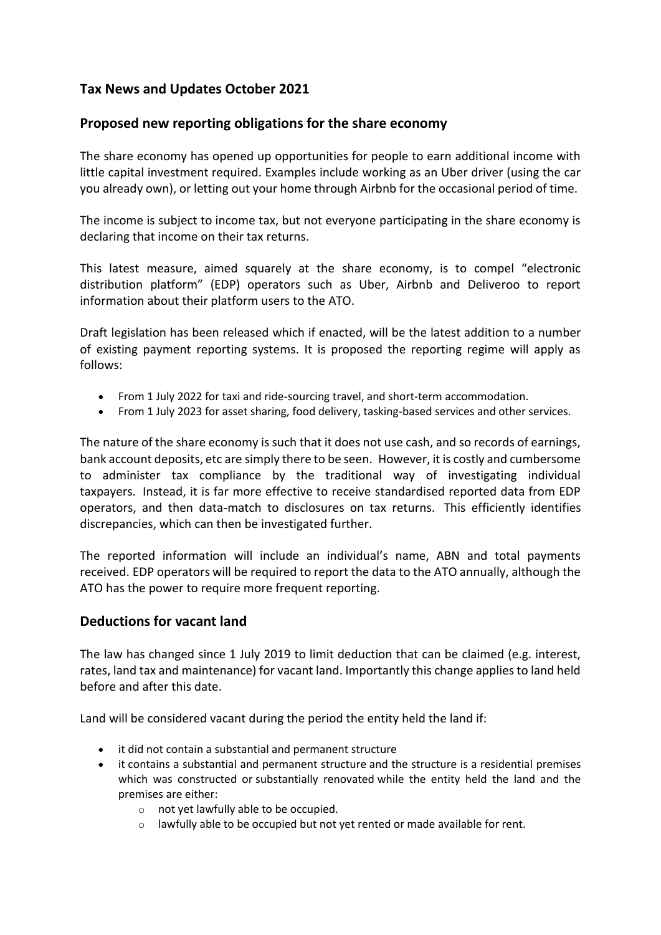# **Tax News and Updates October 2021**

### **Proposed new reporting obligations for the share economy**

The share economy has opened up opportunities for people to earn additional income with little capital investment required. Examples include working as an Uber driver (using the car you already own), or letting out your home through Airbnb for the occasional period of time.

The income is subject to income tax, but not everyone participating in the share economy is declaring that income on their tax returns.

This latest measure, aimed squarely at the share economy, is to compel "electronic distribution platform" (EDP) operators such as Uber, Airbnb and Deliveroo to report information about their platform users to the ATO.

Draft legislation has been released which if enacted, will be the latest addition to a number of existing payment reporting systems. It is proposed the reporting regime will apply as follows:

- From 1 July 2022 for taxi and ride-sourcing travel, and short-term accommodation.
- From 1 July 2023 for asset sharing, food delivery, tasking-based services and other services.

The nature of the share economy is such that it does not use cash, and so records of earnings, bank account deposits, etc are simply there to be seen. However, it is costly and cumbersome to administer tax compliance by the traditional way of investigating individual taxpayers. Instead, it is far more effective to receive standardised reported data from EDP operators, and then data-match to disclosures on tax returns. This efficiently identifies discrepancies, which can then be investigated further.

The reported information will include an individual's name, ABN and total payments received. EDP operators will be required to report the data to the ATO annually, although the ATO has the power to require more frequent reporting.

### **Deductions for vacant land**

The law has changed since 1 July 2019 to limit deduction that can be claimed (e.g. interest, rates, land tax and maintenance) for vacant land. Importantly this change applies to land held before and after this date.

Land will be considered vacant during the period the entity held the land if:

- it did not contain a substantial and permanent structure
- it contains a substantial and permanent structure and the structure is a residential premises which was constructed or substantially renovated while the entity held the land and the premises are either:
	- o not yet lawfully able to be occupied.
	- o lawfully able to be occupied but not yet rented or made available for rent.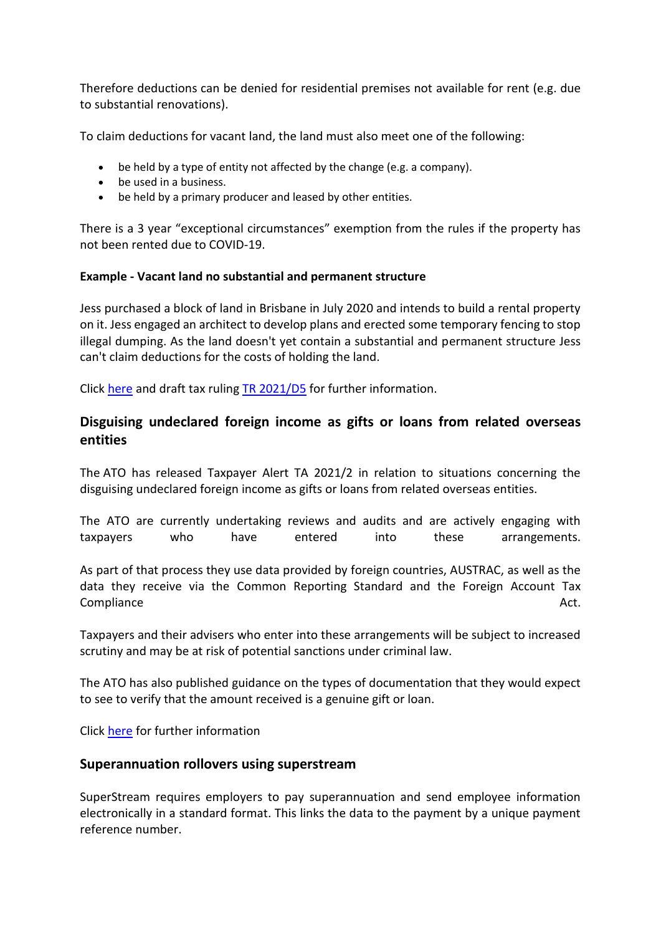Therefore deductions can be denied for residential premises not available for rent (e.g. due to substantial renovations).

To claim deductions for vacant land, the land must also meet one of the following:

- be held by a type of entity not affected by the change (e.g. a company).
- be used in a business.
- be held by a primary producer and leased by other entities.

There is a 3 year "exceptional circumstances" exemption from the rules if the property has not been rented due to COVID-19.

#### **Example - Vacant land no substantial and permanent structure**

Jess purchased a block of land in Brisbane in July 2020 and intends to build a rental property on it. Jess engaged an architect to develop plans and erected some temporary fencing to stop illegal dumping. As the land doesn't yet contain a substantial and permanent structure Jess can't claim deductions for the costs of holding the land.

Click [here](https://www.ato.gov.au/Individuals/Investments-and-assets/Land---vacant-land-and-subdividing/Deductions-for-vacant-land/?anchor=Farmlandnotvacantland#Landcontainingsubstantialandpermanentbui) and draft tax ruling [TR 2021/D5](https://www.ato.gov.au/law/view/document?DocID=DTR/TR2021D5/NAT/ATO/00001&PiT=99991231235958) for further information.

## **Disguising undeclared foreign income as gifts or loans from related overseas entities**

The ATO has released Taxpayer Alert TA 2021/2 in relation to situations concerning the disguising undeclared foreign income as gifts or loans from related overseas entities.

The ATO are currently undertaking reviews and audits and are actively engaging with taxpayers who have entered into these arrangements.

As part of that process they use data provided by foreign countries, AUSTRAC, as well as the data they receive via the Common Reporting Standard and the Foreign Account Tax Compliance Act.

Taxpayers and their advisers who enter into these arrangements will be subject to increased scrutiny and may be at risk of potential sanctions under criminal law.

The ATO has also published guidance on the types of documentation that they would expect to see to verify that the amount received is a genuine gift or loan.

Click [here](https://www.ato.gov.au/Business/Privately-owned-and-wealthy-groups/Tax-governance/Tax-governance-guide-for-privately-owned-groups/Gifts-or-loans-from-related-overseas-entities/) for further information

### **Superannuation rollovers using superstream**

SuperStream requires employers to pay superannuation and send employee information electronically in a standard format. This links the data to the payment by a unique payment reference number.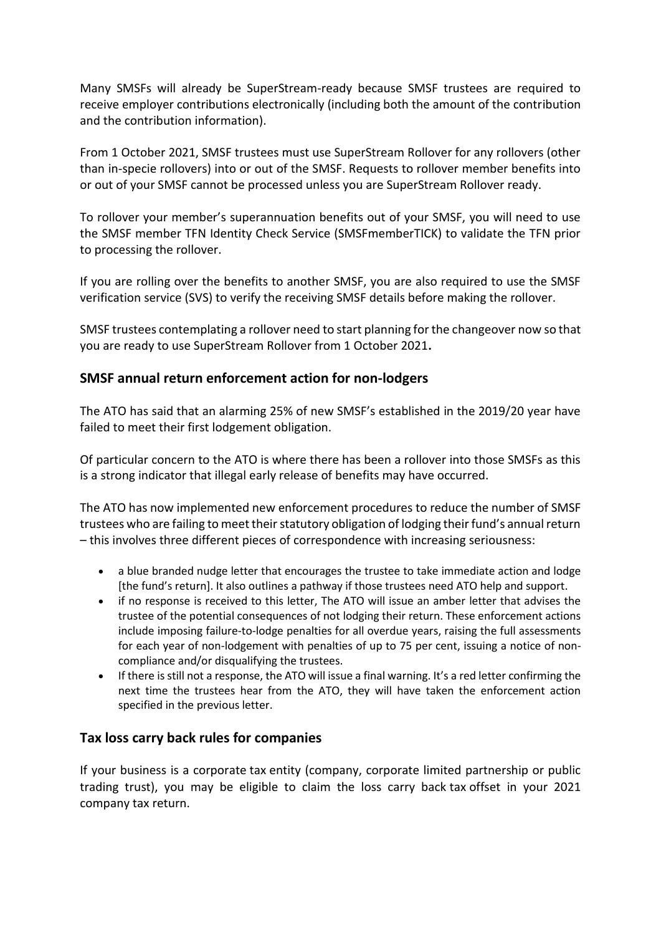Many SMSFs will already be SuperStream-ready because SMSF trustees are required to receive employer contributions electronically (including both the amount of the contribution and the contribution information).

From 1 October 2021, SMSF trustees must use SuperStream Rollover for any rollovers (other than in-specie rollovers) into or out of the SMSF. Requests to rollover member benefits into or out of your SMSF cannot be processed unless you are SuperStream Rollover ready.

To rollover your member's superannuation benefits out of your SMSF, you will need to use the SMSF member TFN Identity Check Service (SMSFmemberTICK) to validate the TFN prior to processing the rollover.

If you are rolling over the benefits to another SMSF, you are also required to use the SMSF verification service (SVS) to verify the receiving SMSF details before making the rollover.

SMSF trustees contemplating a rollover need to start planning for the changeover now so that you are ready to use SuperStream Rollover from 1 October 2021**.**

### **SMSF annual return enforcement action for non-lodgers**

The ATO has said that an alarming 25% of new SMSF's established in the 2019/20 year have failed to meet their first lodgement obligation.

Of particular concern to the ATO is where there has been a rollover into those SMSFs as this is a strong indicator that illegal early release of benefits may have occurred.

The ATO has now implemented new enforcement procedures to reduce the number of SMSF trustees who are failing to meet their statutory obligation of lodging their fund's annual return – this involves three different pieces of correspondence with increasing seriousness:

- a blue branded nudge letter that encourages the trustee to take immediate action and lodge [the fund's return]. It also outlines a pathway if those trustees need ATO help and support.
- if no response is received to this letter, The ATO will issue an amber letter that advises the trustee of the potential consequences of not lodging their return. These enforcement actions include imposing failure-to-lodge penalties for all overdue years, raising the full assessments for each year of non-lodgement with penalties of up to 75 per cent, issuing a notice of noncompliance and/or disqualifying the trustees.
- If there is still not a response, the ATO will issue a final warning. It's a red letter confirming the next time the trustees hear from the ATO, they will have taken the enforcement action specified in the previous letter.

### **Tax loss carry back rules for companies**

If your business is a corporate tax entity (company, corporate limited partnership or public trading trust), you may be eligible to claim the loss carry back tax offset in your 2021 company tax return.